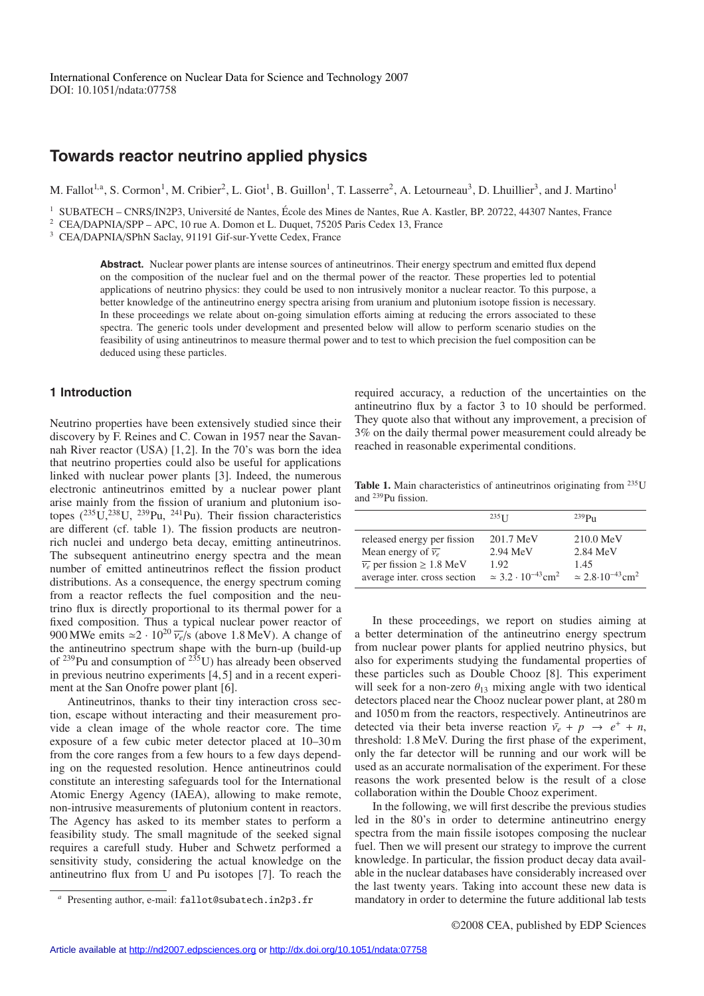# **Towards reactor neutrino applied physics**

M. Fallot<sup>1,a</sup>, S. Cormon<sup>1</sup>, M. Cribier<sup>2</sup>, L. Giot<sup>1</sup>, B. Guillon<sup>1</sup>, T. Lasserre<sup>2</sup>, A. Letourneau<sup>3</sup>, D. Lhuillier<sup>3</sup>, and J. Martino<sup>1</sup>

<sup>1</sup> SUBATECH – CNRS/IN2P3, Université de Nantes, École des Mines de Nantes, Rue A. Kastler, BP. 20722, 44307 Nantes, France <sup>2</sup> CEA/DAPNIA/SPP – APC, 10 rue A. Domon et L. Duquet, 75205 Paris Cedex 13, France

<sup>3</sup> CEA/DAPNIA/SPhN Saclay, 91191 Gif-sur-Yvette Cedex, France

**Abstract.** Nuclear power plants are intense sources of antineutrinos. Their energy spectrum and emitted flux depend on the composition of the nuclear fuel and on the thermal power of the reactor. These properties led to potential applications of neutrino physics: they could be used to non intrusively monitor a nuclear reactor. To this purpose, a better knowledge of the antineutrino energy spectra arising from uranium and plutonium isotope fission is necessary. In these proceedings we relate about on-going simulation efforts aiming at reducing the errors associated to these spectra. The generic tools under development and presented below will allow to perform scenario studies on the feasibility of using antineutrinos to measure thermal power and to test to which precision the fuel composition can be deduced using these particles.

### **1 Introduction**

Neutrino properties have been extensively studied since their discovery by F. Reines and C. Cowan in 1957 near the Savannah River reactor (USA)  $[1, 2]$ . In the 70's was born the idea that neutrino properties could also be useful for applications linked with nuclear power plants [3]. Indeed, the numerous electronic antineutrinos emitted by a nuclear power plant arise mainly from the fission of uranium and plutonium isotopes  $(^{235}U,^{238}U,^{239}Pu,^{241}Pu)$ . Their fission characteristics are different (cf. table 1). The fission products are neutronrich nuclei and undergo beta decay, emitting antineutrinos. The subsequent antineutrino energy spectra and the mean number of emitted antineutrinos reflect the fission product distributions. As a consequence, the energy spectrum coming from a reactor reflects the fuel composition and the neutrino flux is directly proportional to its thermal power for a fixed composition. Thus a typical nuclear power reactor of 900 MWe emits  $\approx 2 \cdot 10^{20} \overline{v_e}/s$  (above 1.8 MeV). A change of the antineutrino spectrum shape with the burn-up (build-up of  $^{239}$ Pu and consumption of  $^{235}$ U) has already been observed in previous neutrino experiments [4, 5] and in a recent experiment at the San Onofre power plant [6].

Antineutrinos, thanks to their tiny interaction cross section, escape without interacting and their measurement provide a clean image of the whole reactor core. The time exposure of a few cubic meter detector placed at 10–30 m from the core ranges from a few hours to a few days depending on the requested resolution. Hence antineutrinos could constitute an interesting safeguards tool for the International Atomic Energy Agency (IAEA), allowing to make remote, non-intrusive measurements of plutonium content in reactors. The Agency has asked to its member states to perform a feasibility study. The small magnitude of the seeked signal requires a carefull study. Huber and Schwetz performed a sensitivity study, considering the actual knowledge on the antineutrino flux from U and Pu isotopes [7]. To reach the required accuracy, a reduction of the uncertainties on the antineutrino flux by a factor 3 to 10 should be performed. They quote also that without any improvement, a precision of 3% on the daily thermal power measurement could already be reached in reasonable experimental conditions.

Table 1. Main characteristics of antineutrinos originating from <sup>235</sup>U and 239Pu fission.

|                                               | $235$ <sup>T</sup>                          | $239P_{11}$                                  |
|-----------------------------------------------|---------------------------------------------|----------------------------------------------|
| released energy per fission                   | 201.7 MeV                                   | $210.0 \text{ MeV}$                          |
| Mean energy of $\overline{\nu_e}$             | $2.94$ MeV                                  | $2.84$ MeV                                   |
| $\overline{\nu_e}$ per fission $\geq 1.8$ MeV | 1.92                                        | 1.45                                         |
| average inter. cross section                  | $\simeq 3.2 \cdot 10^{-43}$ cm <sup>2</sup> | $\approx 2.8 \cdot 10^{-43}$ cm <sup>2</sup> |

In these proceedings, we report on studies aiming at a better determination of the antineutrino energy spectrum from nuclear power plants for applied neutrino physics, but also for experiments studying the fundamental properties of these particles such as Double Chooz [8]. This experiment will seek for a non-zero  $\theta_{13}$  mixing angle with two identical detectors placed near the Chooz nuclear power plant, at 280 m and 1050 m from the reactors, respectively. Antineutrinos are detected via their beta inverse reaction  $\bar{v}_e + p \rightarrow e^+ + n$ , threshold: 1.8 MeV. During the first phase of the experiment, only the far detector will be running and our work will be used as an accurate normalisation of the experiment. For these reasons the work presented below is the result of a close collaboration within the Double Chooz experiment.

In the following, we will first describe the previous studies led in the 80's in order to determine antineutrino energy spectra from the main fissile isotopes composing the nuclear fuel. Then we will present our strategy to improve the current knowledge. In particular, the fission product decay data available in the nuclear databases have considerably increased over the last twenty years. Taking into account these new data is mandatory in order to determine the future additional lab tests

Presenting author, e-mail: fallot@subatech.in2p3.fr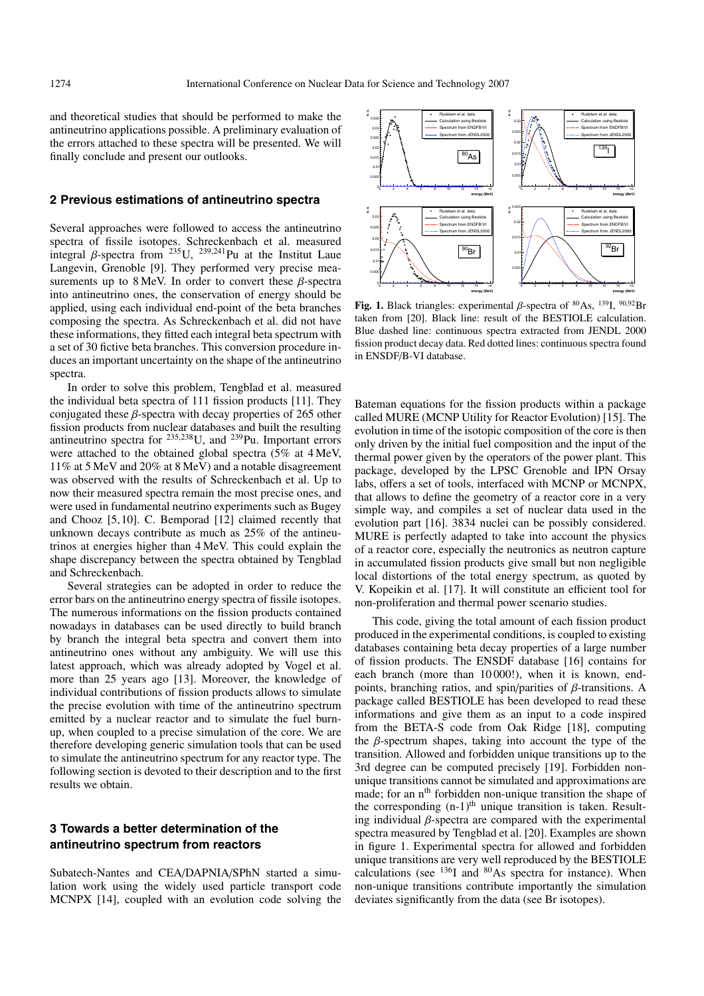and theoretical studies that should be performed to make the antineutrino applications possible. A preliminary evaluation of the errors attached to these spectra will be presented. We will finally conclude and present our outlooks.

#### **2 Previous estimations of antineutrino spectra**

Several approaches were followed to access the antineutrino spectra of fissile isotopes. Schreckenbach et al. measured integral  $\beta$ -spectra from <sup>235</sup>U, <sup>239,241</sup>Pu at the Institut Laue</sup> Langevin, Grenoble [9]. They performed very precise measurements up to 8 MeV. In order to convert these  $\beta$ -spectra into antineutrino ones, the conservation of energy should be applied, using each individual end-point of the beta branches composing the spectra. As Schreckenbach et al. did not have these informations, they fitted each integral beta spectrum with a set of 30 fictive beta branches. This conversion procedure induces an important uncertainty on the shape of the antineutrino spectra.

In order to solve this problem, Tengblad et al. measured the individual beta spectra of 111 fission products [11]. They conjugated these  $\beta$ -spectra with decay properties of 265 other fission products from nuclear databases and built the resulting antineutrino spectra for  $235,238$ U, and  $239$ Pu. Important errors were attached to the obtained global spectra (5% at 4 MeV, 11% at 5 MeV and 20% at 8 MeV) and a notable disagreement was observed with the results of Schreckenbach et al. Up to now their measured spectra remain the most precise ones, and were used in fundamental neutrino experiments such as Bugey and Chooz [5, 10]. C. Bemporad [12] claimed recently that unknown decays contribute as much as 25% of the antineutrinos at energies higher than 4 MeV. This could explain the shape discrepancy between the spectra obtained by Tengblad and Schreckenbach.

Several strategies can be adopted in order to reduce the error bars on the antineutrino energy spectra of fissile isotopes. The numerous informations on the fission products contained nowadays in databases can be used directly to build branch by branch the integral beta spectra and convert them into antineutrino ones without any ambiguity. We will use this latest approach, which was already adopted by Vogel et al. more than 25 years ago [13]. Moreover, the knowledge of individual contributions of fission products allows to simulate the precise evolution with time of the antineutrino spectrum emitted by a nuclear reactor and to simulate the fuel burnup, when coupled to a precise simulation of the core. We are therefore developing generic simulation tools that can be used to simulate the antineutrino spectrum for any reactor type. The following section is devoted to their description and to the first results we obtain.

## **3 Towards a better determination of the antineutrino spectrum from reactors**

Subatech-Nantes and CEA/DAPNIA/SPhN started a simulation work using the widely used particle transport code MCNPX [14], coupled with an evolution code solving the



**Fig. 1.** Black triangles: experimental β-spectra of 80As, 139I, <sup>90</sup>,92Br taken from [20]. Black line: result of the BESTIOLE calculation. Blue dashed line: continuous spectra extracted from JENDL 2000 fission product decay data. Red dotted lines: continuous spectra found in ENSDF/B-VI database.

Bateman equations for the fission products within a package called MURE (MCNP Utility for Reactor Evolution) [15]. The evolution in time of the isotopic composition of the core is then only driven by the initial fuel composition and the input of the thermal power given by the operators of the power plant. This package, developed by the LPSC Grenoble and IPN Orsay labs, offers a set of tools, interfaced with MCNP or MCNPX, that allows to define the geometry of a reactor core in a very simple way, and compiles a set of nuclear data used in the evolution part [16]. 3834 nuclei can be possibly considered. MURE is perfectly adapted to take into account the physics of a reactor core, especially the neutronics as neutron capture in accumulated fission products give small but non negligible local distortions of the total energy spectrum, as quoted by V. Kopeikin et al. [17]. It will constitute an efficient tool for non-proliferation and thermal power scenario studies.

This code, giving the total amount of each fission product produced in the experimental conditions, is coupled to existing databases containing beta decay properties of a large number of fission products. The ENSDF database [16] contains for each branch (more than 10000!), when it is known, endpoints, branching ratios, and spin/parities of  $\beta$ -transitions. A package called BESTIOLE has been developed to read these informations and give them as an input to a code inspired from the BETA-S code from Oak Ridge [18], computing the  $\beta$ -spectrum shapes, taking into account the type of the transition. Allowed and forbidden unique transitions up to the 3rd degree can be computed precisely [19]. Forbidden nonunique transitions cannot be simulated and approximations are made; for an n<sup>th</sup> forbidden non-unique transition the shape of the corresponding  $(n-1)$ <sup>th</sup> unique transition is taken. Resulting individual  $\beta$ -spectra are compared with the experimental spectra measured by Tengblad et al. [20]. Examples are shown in figure 1. Experimental spectra for allowed and forbidden unique transitions are very well reproduced by the BESTIOLE calculations (see 136I and 80As spectra for instance). When non-unique transitions contribute importantly the simulation deviates significantly from the data (see Br isotopes).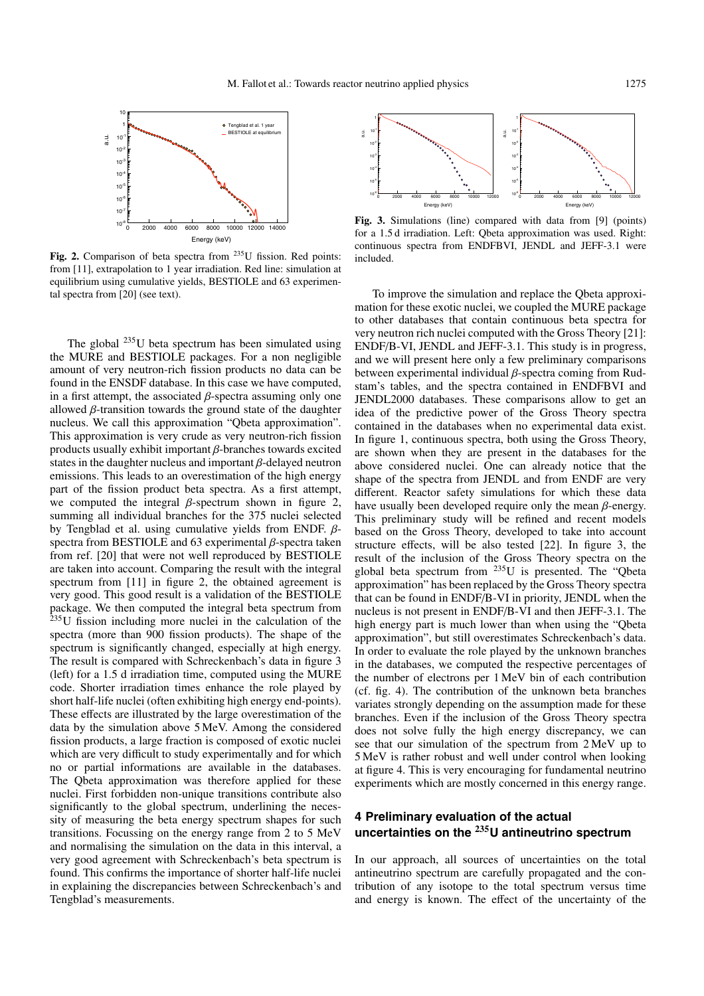

Fig. 2. Comparison of beta spectra from <sup>235</sup>U fission. Red points: from [11], extrapolation to 1 year irradiation. Red line: simulation at equilibrium using cumulative yields, BESTIOLE and 63 experimental spectra from [20] (see text).

The global  $^{235}$ U beta spectrum has been simulated using the MURE and BESTIOLE packages. For a non negligible amount of very neutron-rich fission products no data can be found in the ENSDF database. In this case we have computed, in a first attempt, the associated  $\beta$ -spectra assuming only one allowed  $\beta$ -transition towards the ground state of the daughter nucleus. We call this approximation "Qbeta approximation". This approximation is very crude as very neutron-rich fission products usually exhibit important  $\beta$ -branches towards excited states in the daughter nucleus and important  $\beta$ -delayed neutron emissions. This leads to an overestimation of the high energy part of the fission product beta spectra. As a first attempt, we computed the integral  $\beta$ -spectrum shown in figure 2, summing all individual branches for the 375 nuclei selected by Tengblad et al. using cumulative yields from ENDF.  $\beta$ spectra from BESTIOLE and 63 experimental  $\beta$ -spectra taken from ref. [20] that were not well reproduced by BESTIOLE are taken into account. Comparing the result with the integral spectrum from [11] in figure 2, the obtained agreement is very good. This good result is a validation of the BESTIOLE package. We then computed the integral beta spectrum from 235U fission including more nuclei in the calculation of the spectra (more than 900 fission products). The shape of the spectrum is significantly changed, especially at high energy. The result is compared with Schreckenbach's data in figure 3 (left) for a 1.5 d irradiation time, computed using the MURE code. Shorter irradiation times enhance the role played by short half-life nuclei (often exhibiting high energy end-points). These effects are illustrated by the large overestimation of the data by the simulation above 5 MeV. Among the considered fission products, a large fraction is composed of exotic nuclei which are very difficult to study experimentally and for which no or partial informations are available in the databases. The Qbeta approximation was therefore applied for these nuclei. First forbidden non-unique transitions contribute also significantly to the global spectrum, underlining the necessity of measuring the beta energy spectrum shapes for such transitions. Focussing on the energy range from 2 to 5 MeV and normalising the simulation on the data in this interval, a very good agreement with Schreckenbach's beta spectrum is found. This confirms the importance of shorter half-life nuclei in explaining the discrepancies between Schreckenbach's and Tengblad's measurements.



**Fig. 3.** Simulations (line) compared with data from [9] (points) for a 1.5 d irradiation. Left: Qbeta approximation was used. Right: continuous spectra from ENDFBVI, JENDL and JEFF-3.1 were included.

To improve the simulation and replace the Qbeta approximation for these exotic nuclei, we coupled the MURE package to other databases that contain continuous beta spectra for very neutron rich nuclei computed with the Gross Theory [21]: ENDF/B-VI, JENDL and JEFF-3.1. This study is in progress, and we will present here only a few preliminary comparisons between experimental individual β-spectra coming from Rudstam's tables, and the spectra contained in ENDFBVI and JENDL2000 databases. These comparisons allow to get an idea of the predictive power of the Gross Theory spectra contained in the databases when no experimental data exist. In figure 1, continuous spectra, both using the Gross Theory, are shown when they are present in the databases for the above considered nuclei. One can already notice that the shape of the spectra from JENDL and from ENDF are very different. Reactor safety simulations for which these data have usually been developed require only the mean  $\beta$ -energy. This preliminary study will be refined and recent models based on the Gross Theory, developed to take into account structure effects, will be also tested [22]. In figure 3, the result of the inclusion of the Gross Theory spectra on the global beta spectrum from  $^{235}$ U is presented. The "Qbeta approximation" has been replaced by the Gross Theory spectra that can be found in ENDF/B-VI in priority, JENDL when the nucleus is not present in ENDF/B-VI and then JEFF-3.1. The high energy part is much lower than when using the "Qbeta approximation", but still overestimates Schreckenbach's data. In order to evaluate the role played by the unknown branches in the databases, we computed the respective percentages of the number of electrons per 1 MeV bin of each contribution (cf. fig. 4). The contribution of the unknown beta branches variates strongly depending on the assumption made for these branches. Even if the inclusion of the Gross Theory spectra does not solve fully the high energy discrepancy, we can see that our simulation of the spectrum from 2 MeV up to 5 MeV is rather robust and well under control when looking at figure 4. This is very encouraging for fundamental neutrino experiments which are mostly concerned in this energy range.

# **4 Preliminary evaluation of the actual uncertainties on the <sup>235</sup>U antineutrino spectrum**

In our approach, all sources of uncertainties on the total antineutrino spectrum are carefully propagated and the contribution of any isotope to the total spectrum versus time and energy is known. The effect of the uncertainty of the